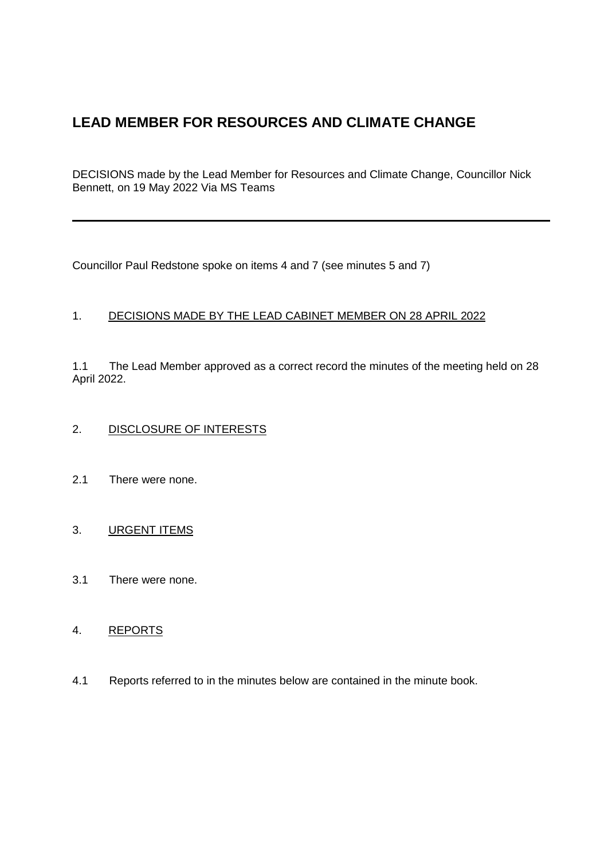# **LEAD MEMBER FOR RESOURCES AND CLIMATE CHANGE**

DECISIONS made by the Lead Member for Resources and Climate Change, Councillor Nick Bennett, on 19 May 2022 Via MS Teams

Councillor Paul Redstone spoke on items 4 and 7 (see minutes 5 and 7)

# 1. DECISIONS MADE BY THE LEAD CABINET MEMBER ON 28 APRIL 2022

1.1 The Lead Member approved as a correct record the minutes of the meeting held on 28 April 2022.

# 2. DISCLOSURE OF INTERESTS

2.1 There were none.

# 3. URGENT ITEMS

3.1 There were none.

# 4. REPORTS

4.1 Reports referred to in the minutes below are contained in the minute book.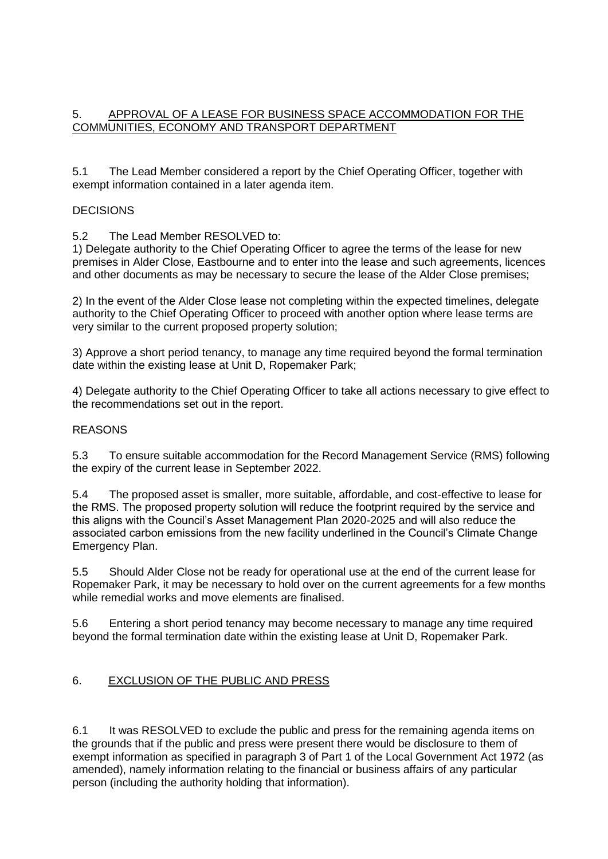## 5. APPROVAL OF A LEASE FOR BUSINESS SPACE ACCOMMODATION FOR THE COMMUNITIES, ECONOMY AND TRANSPORT DEPARTMENT

5.1 The Lead Member considered a report by the Chief Operating Officer, together with exempt information contained in a later agenda item.

### DECISIONS

5.2 The Lead Member RESOLVED to:

1) Delegate authority to the Chief Operating Officer to agree the terms of the lease for new premises in Alder Close, Eastbourne and to enter into the lease and such agreements, licences and other documents as may be necessary to secure the lease of the Alder Close premises;

2) In the event of the Alder Close lease not completing within the expected timelines, delegate authority to the Chief Operating Officer to proceed with another option where lease terms are very similar to the current proposed property solution;

3) Approve a short period tenancy, to manage any time required beyond the formal termination date within the existing lease at Unit D, Ropemaker Park;

4) Delegate authority to the Chief Operating Officer to take all actions necessary to give effect to the recommendations set out in the report.

#### **REASONS**

5.3 To ensure suitable accommodation for the Record Management Service (RMS) following the expiry of the current lease in September 2022.

5.4 The proposed asset is smaller, more suitable, affordable, and cost-effective to lease for the RMS. The proposed property solution will reduce the footprint required by the service and this aligns with the Council's Asset Management Plan 2020-2025 and will also reduce the associated carbon emissions from the new facility underlined in the Council's Climate Change Emergency Plan.

5.5 Should Alder Close not be ready for operational use at the end of the current lease for Ropemaker Park, it may be necessary to hold over on the current agreements for a few months while remedial works and move elements are finalised.

5.6 Entering a short period tenancy may become necessary to manage any time required beyond the formal termination date within the existing lease at Unit D, Ropemaker Park.

### 6. EXCLUSION OF THE PUBLIC AND PRESS

6.1 It was RESOLVED to exclude the public and press for the remaining agenda items on the grounds that if the public and press were present there would be disclosure to them of exempt information as specified in paragraph 3 of Part 1 of the Local Government Act 1972 (as amended), namely information relating to the financial or business affairs of any particular person (including the authority holding that information).